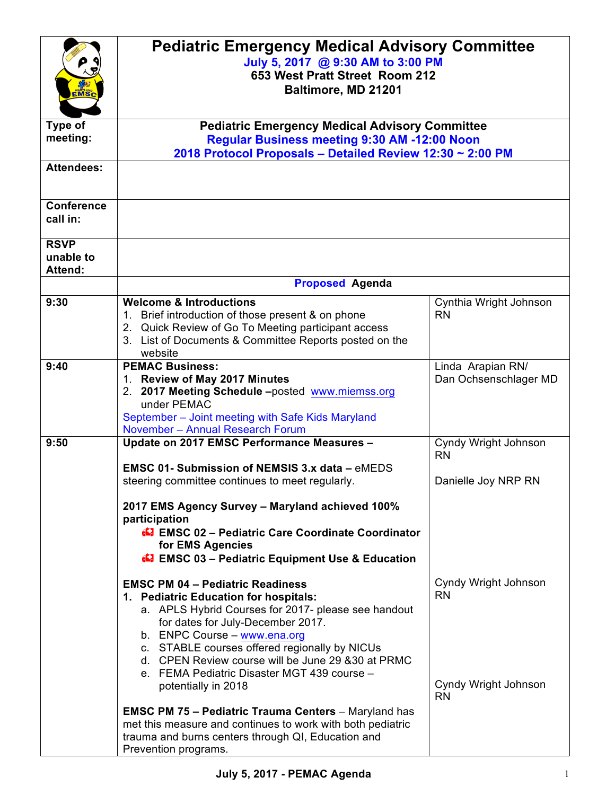|                   | <b>Pediatric Emergency Medical Advisory Committee</b>                                                    |                        |
|-------------------|----------------------------------------------------------------------------------------------------------|------------------------|
|                   | July 5, 2017 @ 9:30 AM to 3:00 PM                                                                        |                        |
|                   | 653 West Pratt Street Room 212                                                                           |                        |
| <b>IMS</b>        | Baltimore, MD 21201                                                                                      |                        |
|                   |                                                                                                          |                        |
| Type of           |                                                                                                          |                        |
| meeting:          | <b>Pediatric Emergency Medical Advisory Committee</b><br>Regular Business meeting 9:30 AM -12:00 Noon    |                        |
|                   | 2018 Protocol Proposals - Detailed Review 12:30 ~ 2:00 PM                                                |                        |
| <b>Attendees:</b> |                                                                                                          |                        |
|                   |                                                                                                          |                        |
|                   |                                                                                                          |                        |
| <b>Conference</b> |                                                                                                          |                        |
| call in:          |                                                                                                          |                        |
| <b>RSVP</b>       |                                                                                                          |                        |
| unable to         |                                                                                                          |                        |
| <b>Attend:</b>    |                                                                                                          |                        |
|                   | <b>Proposed Agenda</b>                                                                                   |                        |
| 9:30              | <b>Welcome &amp; Introductions</b>                                                                       | Cynthia Wright Johnson |
|                   | 1. Brief introduction of those present & on phone                                                        | <b>RN</b>              |
|                   | 2. Quick Review of Go To Meeting participant access                                                      |                        |
|                   | 3. List of Documents & Committee Reports posted on the                                                   |                        |
|                   | website                                                                                                  |                        |
| 9:40              | <b>PEMAC Business:</b>                                                                                   | Linda Arapian RN/      |
|                   | 1. Review of May 2017 Minutes<br>2. 2017 Meeting Schedule -posted www.miemss.org                         | Dan Ochsenschlager MD  |
|                   | under PEMAC                                                                                              |                        |
|                   | September - Joint meeting with Safe Kids Maryland                                                        |                        |
|                   | November - Annual Research Forum                                                                         |                        |
| 9:50              | Update on 2017 EMSC Performance Measures -                                                               | Cyndy Wright Johnson   |
|                   |                                                                                                          | <b>RN</b>              |
|                   | <b>EMSC 01- Submission of NEMSIS 3.x data - eMEDS</b><br>steering committee continues to meet regularly. | Danielle Joy NRP RN    |
|                   |                                                                                                          |                        |
|                   | 2017 EMS Agency Survey - Maryland achieved 100%                                                          |                        |
|                   | participation                                                                                            |                        |
|                   | <b>EMSC 02 - Pediatric Care Coordinate Coordinator</b>                                                   |                        |
|                   | for EMS Agencies                                                                                         |                        |
|                   | <b>47 EMSC 03 - Pediatric Equipment Use &amp; Education</b>                                              |                        |
|                   | <b>EMSC PM 04 - Pediatric Readiness</b>                                                                  | Cyndy Wright Johnson   |
|                   | 1. Pediatric Education for hospitals:                                                                    | <b>RN</b>              |
|                   | a. APLS Hybrid Courses for 2017- please see handout                                                      |                        |
|                   | for dates for July-December 2017.                                                                        |                        |
|                   | b. ENPC Course - www.ena.org                                                                             |                        |
|                   | c. STABLE courses offered regionally by NICUs                                                            |                        |
|                   | d. CPEN Review course will be June 29 & 30 at PRMC<br>e. FEMA Pediatric Disaster MGT 439 course -        |                        |
|                   | potentially in 2018                                                                                      | Cyndy Wright Johnson   |
|                   |                                                                                                          | <b>RN</b>              |
|                   | <b>EMSC PM 75 - Pediatric Trauma Centers</b> - Maryland has                                              |                        |
|                   | met this measure and continues to work with both pediatric                                               |                        |
|                   | trauma and burns centers through QI, Education and                                                       |                        |
|                   | Prevention programs.                                                                                     |                        |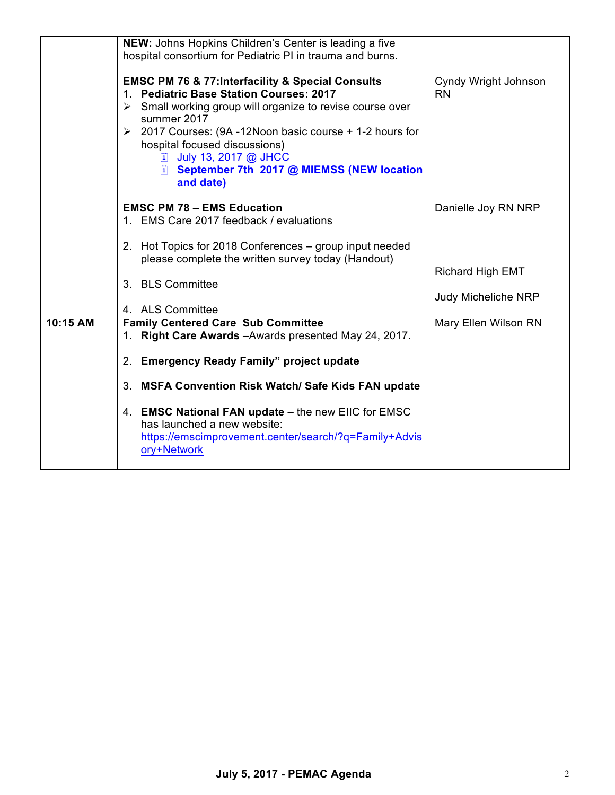|          | NEW: Johns Hopkins Children's Center is leading a five<br>hospital consortium for Pediatric PI in trauma and burns.                                                                                                                                                                                                                                                                              |                                         |
|----------|--------------------------------------------------------------------------------------------------------------------------------------------------------------------------------------------------------------------------------------------------------------------------------------------------------------------------------------------------------------------------------------------------|-----------------------------------------|
|          | <b>EMSC PM 76 &amp; 77: Interfacility &amp; Special Consults</b><br>1. Pediatric Base Station Courses: 2017<br>$\triangleright$ Small working group will organize to revise course over<br>summer 2017<br>$\geq$ 2017 Courses: (9A -12Noon basic course + 1-2 hours for<br>hospital focused discussions)<br>[1] July 13, 2017 @ JHCC<br>E September 7th 2017 @ MIEMSS (NEW location<br>and date) | Cyndy Wright Johnson<br><b>RN</b>       |
|          | <b>EMSC PM 78 - EMS Education</b><br>1. EMS Care 2017 feedback / evaluations                                                                                                                                                                                                                                                                                                                     | Danielle Joy RN NRP                     |
|          | 2. Hot Topics for 2018 Conferences - group input needed<br>please complete the written survey today (Handout)                                                                                                                                                                                                                                                                                    |                                         |
|          | 3. BLS Committee                                                                                                                                                                                                                                                                                                                                                                                 | Richard High EMT<br>Judy Micheliche NRP |
| 10:15 AM | 4. ALS Committee                                                                                                                                                                                                                                                                                                                                                                                 |                                         |
|          | <b>Family Centered Care Sub Committee</b><br>1. Right Care Awards - Awards presented May 24, 2017.                                                                                                                                                                                                                                                                                               | Mary Ellen Wilson RN                    |
|          | 2. Emergency Ready Family" project update                                                                                                                                                                                                                                                                                                                                                        |                                         |
|          | 3. MSFA Convention Risk Watch/ Safe Kids FAN update                                                                                                                                                                                                                                                                                                                                              |                                         |
|          | 4. EMSC National FAN update - the new EIIC for EMSC<br>has launched a new website:<br>https://emscimprovement.center/search/?q=Family+Advis<br>ory+Network                                                                                                                                                                                                                                       |                                         |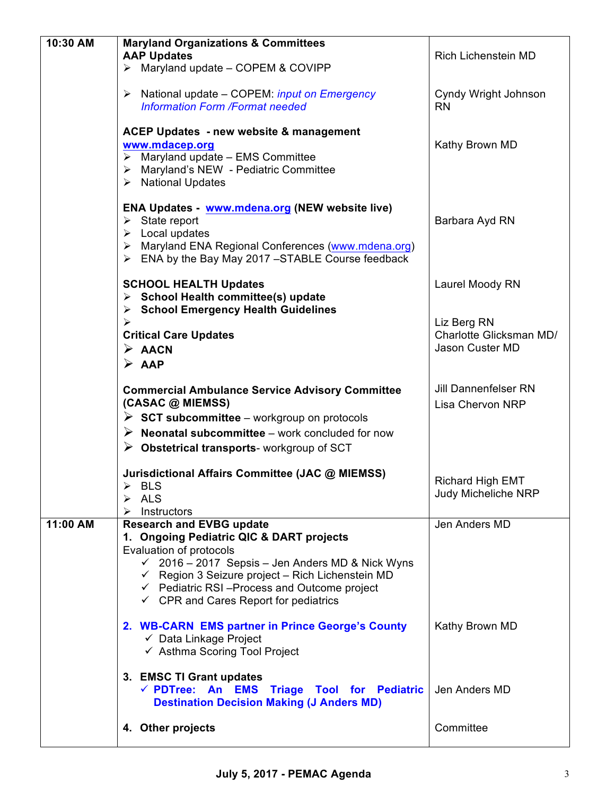| 10:30 AM | <b>Maryland Organizations &amp; Committees</b>                                                    |                                   |
|----------|---------------------------------------------------------------------------------------------------|-----------------------------------|
|          | <b>AAP Updates</b>                                                                                | Rich Lichenstein MD               |
|          | $\triangleright$ Maryland update - COPEM & COVIPP                                                 |                                   |
|          |                                                                                                   |                                   |
|          | National update - COPEM: <i>input on Emergency</i><br>➤<br><b>Information Form /Format needed</b> | Cyndy Wright Johnson<br><b>RN</b> |
|          |                                                                                                   |                                   |
|          | <b>ACEP Updates - new website &amp; management</b>                                                |                                   |
|          | www.mdacep.org                                                                                    | Kathy Brown MD                    |
|          | $\triangleright$ Maryland update – EMS Committee                                                  |                                   |
|          | > Maryland's NEW - Pediatric Committee                                                            |                                   |
|          | > National Updates                                                                                |                                   |
|          | ENA Updates - www.mdena.org (NEW website live)                                                    |                                   |
|          | $\triangleright$ State report                                                                     | Barbara Ayd RN                    |
|          | $\triangleright$ Local updates                                                                    |                                   |
|          | Maryland ENA Regional Conferences (www.mdena.org)<br>➤                                            |                                   |
|          | $\triangleright$ ENA by the Bay May 2017 -STABLE Course feedback                                  |                                   |
|          |                                                                                                   |                                   |
|          | <b>SCHOOL HEALTH Updates</b>                                                                      | Laurel Moody RN                   |
|          | > School Health committee(s) update                                                               |                                   |
|          | $\triangleright$ School Emergency Health Guidelines<br>$\blacktriangleright$                      | Liz Berg RN                       |
|          | <b>Critical Care Updates</b>                                                                      | Charlotte Glicksman MD/           |
|          | $\triangleright$ AACN                                                                             | Jason Custer MD                   |
|          | $\triangleright$ AAP                                                                              |                                   |
|          |                                                                                                   |                                   |
|          | <b>Commercial Ambulance Service Advisory Committee</b>                                            | <b>Jill Dannenfelser RN</b>       |
|          | (CASAC @ MIEMSS)                                                                                  | <b>Lisa Chervon NRP</b>           |
|          | $\triangleright$ SCT subcommittee – workgroup on protocols                                        |                                   |
|          | $\triangleright$ Neonatal subcommittee – work concluded for now                                   |                                   |
|          | $\triangleright$ Obstetrical transports-workgroup of SCT                                          |                                   |
|          |                                                                                                   |                                   |
|          | Jurisdictional Affairs Committee (JAC @ MIEMSS)                                                   | Richard High EMT                  |
|          | $\triangleright$ BLS                                                                              | <b>Judy Micheliche NRP</b>        |
|          | ALS<br>➤<br>Instructors<br>➤                                                                      |                                   |
| 11:00 AM | <b>Research and EVBG update</b>                                                                   | Jen Anders MD                     |
|          | 1. Ongoing Pediatric QIC & DART projects                                                          |                                   |
|          | Evaluation of protocols                                                                           |                                   |
|          | 2016 - 2017 Sepsis - Jen Anders MD & Nick Wyns<br>$\checkmark$                                    |                                   |
|          | $\checkmark$ Region 3 Seizure project - Rich Lichenstein MD                                       |                                   |
|          | $\checkmark$ Pediatric RSI-Process and Outcome project                                            |                                   |
|          | $\checkmark$ CPR and Cares Report for pediatrics                                                  |                                   |
|          | 2. WB-CARN EMS partner in Prince George's County                                                  | Kathy Brown MD                    |
|          | $\checkmark$ Data Linkage Project                                                                 |                                   |
|          | ← Asthma Scoring Tool Project                                                                     |                                   |
|          |                                                                                                   |                                   |
|          | 3. EMSC TI Grant updates                                                                          |                                   |
|          | √ PDTree: An EMS Triage Tool for Pediatric                                                        | Jen Anders MD                     |
|          | <b>Destination Decision Making (J Anders MD)</b>                                                  |                                   |
|          | 4. Other projects                                                                                 | Committee                         |
|          |                                                                                                   |                                   |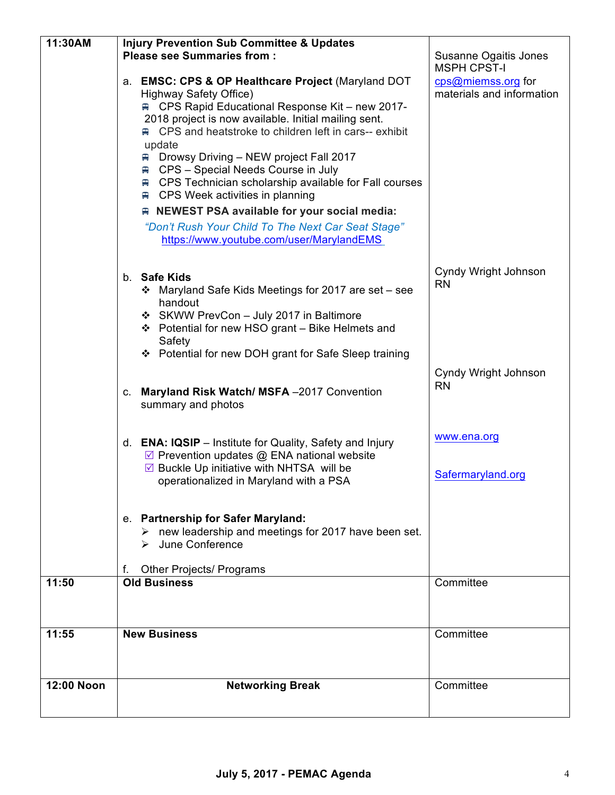| 11:30AM    | <b>Injury Prevention Sub Committee &amp; Updates</b>                                                                                                                                                                                                                                                                                                                                                                                                                                                                                                                                                                                        |                                                                       |
|------------|---------------------------------------------------------------------------------------------------------------------------------------------------------------------------------------------------------------------------------------------------------------------------------------------------------------------------------------------------------------------------------------------------------------------------------------------------------------------------------------------------------------------------------------------------------------------------------------------------------------------------------------------|-----------------------------------------------------------------------|
|            | <b>Please see Summaries from:</b>                                                                                                                                                                                                                                                                                                                                                                                                                                                                                                                                                                                                           | Susanne Ogaitis Jones                                                 |
|            | a. EMSC: CPS & OP Healthcare Project (Maryland DOT<br>Highway Safety Office)<br><b>E.</b> CPS Rapid Educational Response Kit – new 2017-<br>2018 project is now available. Initial mailing sent.<br><b>■ CPS and heatstroke to children left in cars-- exhibit</b><br>update<br>Drowsy Driving - NEW project Fall 2017<br>₩<br><b>■ CPS - Special Needs Course in July</b><br><b>■ CPS Technician scholarship available for Fall courses</b><br>$\equiv$ CPS Week activities in planning<br>R NEWEST PSA available for your social media:<br>"Don't Rush Your Child To The Next Car Seat Stage"<br>https://www.youtube.com/user/MarylandEMS | <b>MSPH CPST-I</b><br>cps@miemss.org for<br>materials and information |
|            | b. Safe Kids<br>Maryland Safe Kids Meetings for 2017 are set - see<br>豪心<br>handout<br>❖ SKWW PrevCon - July 2017 in Baltimore<br>❖ Potential for new HSO grant - Bike Helmets and<br>Safety<br>❖ Potential for new DOH grant for Safe Sleep training                                                                                                                                                                                                                                                                                                                                                                                       | Cyndy Wright Johnson<br><b>RN</b>                                     |
|            | c. Maryland Risk Watch/ MSFA -2017 Convention<br>summary and photos                                                                                                                                                                                                                                                                                                                                                                                                                                                                                                                                                                         | Cyndy Wright Johnson<br><b>RN</b>                                     |
|            | d. <b>ENA: IQSIP</b> – Institute for Quality, Safety and Injury<br>☑ Prevention updates @ ENA national website<br>$\triangledown$ Buckle Up initiative with NHTSA will be<br>operationalized in Maryland with a PSA                                                                                                                                                                                                                                                                                                                                                                                                                         | www.ena.org<br>Safermaryland.org                                      |
|            | e. Partnership for Safer Maryland:<br>new leadership and meetings for 2017 have been set.<br>> June Conference                                                                                                                                                                                                                                                                                                                                                                                                                                                                                                                              |                                                                       |
|            | <b>Other Projects/ Programs</b><br>f.                                                                                                                                                                                                                                                                                                                                                                                                                                                                                                                                                                                                       |                                                                       |
| 11:50      | <b>Old Business</b>                                                                                                                                                                                                                                                                                                                                                                                                                                                                                                                                                                                                                         | Committee                                                             |
| 11:55      | <b>New Business</b>                                                                                                                                                                                                                                                                                                                                                                                                                                                                                                                                                                                                                         | Committee                                                             |
| 12:00 Noon | <b>Networking Break</b>                                                                                                                                                                                                                                                                                                                                                                                                                                                                                                                                                                                                                     | Committee                                                             |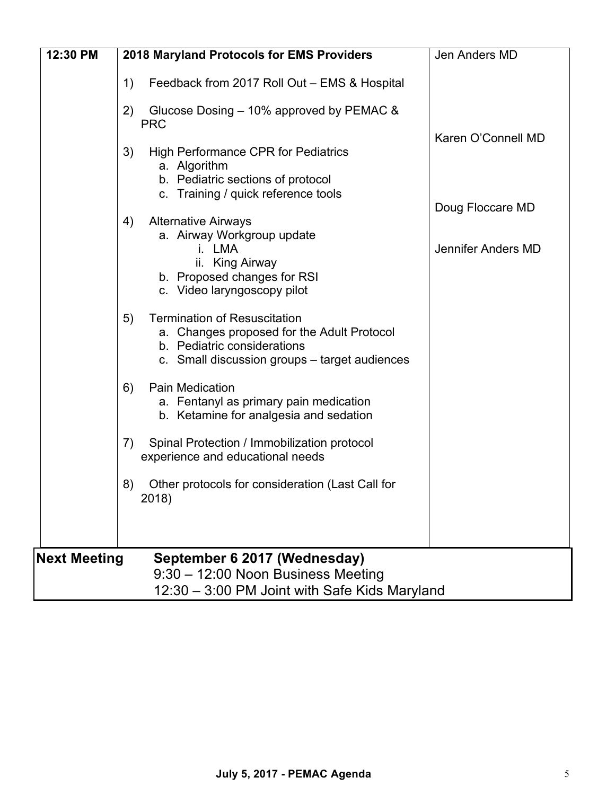| 12:30 PM            | 2018 Maryland Protocols for EMS Providers                                                                                                                               | Jen Anders MD      |
|---------------------|-------------------------------------------------------------------------------------------------------------------------------------------------------------------------|--------------------|
|                     | Feedback from 2017 Roll Out - EMS & Hospital<br>1)                                                                                                                      |                    |
|                     | Glucose Dosing – 10% approved by PEMAC &<br>2)<br><b>PRC</b>                                                                                                            |                    |
|                     | 3)<br><b>High Performance CPR for Pediatrics</b>                                                                                                                        | Karen O'Connell MD |
|                     | a. Algorithm<br>b. Pediatric sections of protocol<br>c. Training / quick reference tools                                                                                |                    |
|                     | <b>Alternative Airways</b><br>4)                                                                                                                                        | Doug Floccare MD   |
|                     | a. Airway Workgroup update<br>i. LMA<br>ii. King Airway<br>b. Proposed changes for RSI                                                                                  | Jennifer Anders MD |
|                     | c. Video laryngoscopy pilot                                                                                                                                             |                    |
|                     | <b>Termination of Resuscitation</b><br>5)<br>a. Changes proposed for the Adult Protocol<br>b. Pediatric considerations<br>c. Small discussion groups – target audiences |                    |
|                     | Pain Medication<br>6)<br>a. Fentanyl as primary pain medication<br>b. Ketamine for analgesia and sedation                                                               |                    |
|                     | Spinal Protection / Immobilization protocol<br>7)<br>experience and educational needs                                                                                   |                    |
|                     | 8)<br>Other protocols for consideration (Last Call for<br>2018)                                                                                                         |                    |
|                     |                                                                                                                                                                         |                    |
| <b>Next Meeting</b> | September 6 2017 (Wednesday)<br>9:30 - 12:00 Noon Business Meeting                                                                                                      |                    |
|                     | 12:30 - 3:00 PM Joint with Safe Kids Maryland                                                                                                                           |                    |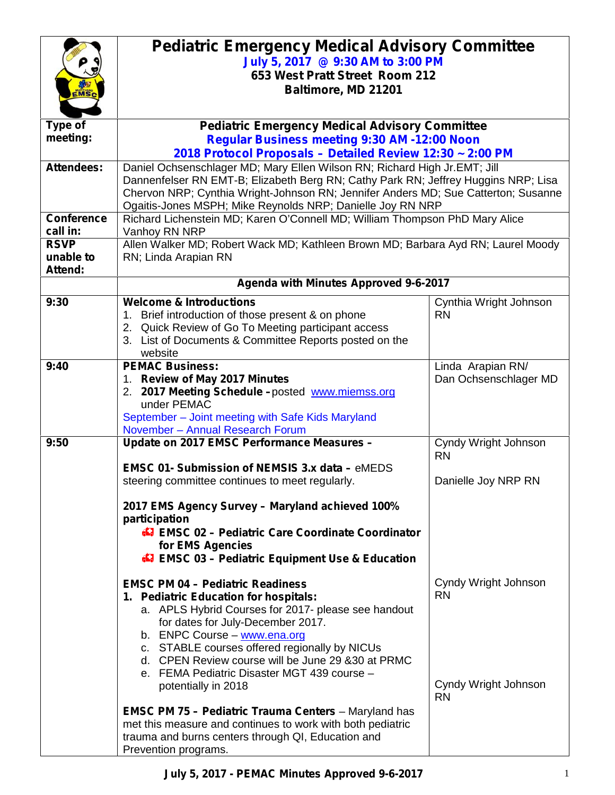|                                        | <b>Pediatric Emergency Medical Advisory Committee</b><br>July 5, 2017 @ 9:30 AM to 3:00 PM<br>653 West Pratt Street Room 212<br>Baltimore, MD 21201                                                                                                                                                                                                                                                                                                                                                                                                                                                  |                                                                        |
|----------------------------------------|------------------------------------------------------------------------------------------------------------------------------------------------------------------------------------------------------------------------------------------------------------------------------------------------------------------------------------------------------------------------------------------------------------------------------------------------------------------------------------------------------------------------------------------------------------------------------------------------------|------------------------------------------------------------------------|
| Type of<br>meeting:                    | <b>Pediatric Emergency Medical Advisory Committee</b><br><b>Regular Business meeting 9:30 AM -12:00 Noon</b>                                                                                                                                                                                                                                                                                                                                                                                                                                                                                         |                                                                        |
| <b>Attendees:</b><br><b>Conference</b> | 2018 Protocol Proposals - Detailed Review 12:30 ~ 2:00 PM<br>Daniel Ochsenschlager MD; Mary Ellen Wilson RN; Richard High Jr.EMT; Jill<br>Dannenfelser RN EMT-B; Elizabeth Berg RN; Cathy Park RN; Jeffrey Huggins NRP; Lisa<br>Chervon NRP; Cynthia Wright-Johnson RN; Jennifer Anders MD; Sue Catterton; Susanne<br>Ogaitis-Jones MSPH; Mike Reynolds NRP; Danielle Joy RN NRP                                                                                                                                                                                                                     |                                                                        |
| call in:<br><b>RSVP</b><br>unable to   | Richard Lichenstein MD; Karen O'Connell MD; William Thompson PhD Mary Alice<br>Vanhoy RN NRP<br>Allen Walker MD; Robert Wack MD; Kathleen Brown MD; Barbara Ayd RN; Laurel Moody<br>RN; Linda Arapian RN                                                                                                                                                                                                                                                                                                                                                                                             |                                                                        |
| Attend:                                | Agenda with Minutes Approved 9-6-2017                                                                                                                                                                                                                                                                                                                                                                                                                                                                                                                                                                |                                                                        |
| 9:30                                   | <b>Welcome &amp; Introductions</b><br>1. Brief introduction of those present & on phone<br>2. Quick Review of Go To Meeting participant access<br>3. List of Documents & Committee Reports posted on the<br>website                                                                                                                                                                                                                                                                                                                                                                                  | Cynthia Wright Johnson<br><b>RN</b>                                    |
| 9:40                                   | <b>PEMAC Business:</b><br>1. Review of May 2017 Minutes<br>2. 2017 Meeting Schedule -posted www.miemss.org<br>under PEMAC<br>September - Joint meeting with Safe Kids Maryland<br>November - Annual Research Forum                                                                                                                                                                                                                                                                                                                                                                                   | Linda Arapian RN/<br>Dan Ochsenschlager MD                             |
| 9:50                                   | Update on 2017 EMSC Performance Measures -<br><b>EMSC 01- Submission of NEMSIS 3.x data - eMEDS</b><br>steering committee continues to meet regularly.<br>2017 EMS Agency Survey - Maryland achieved 100%<br>participation<br><b>47 EMSC 02 - Pediatric Care Coordinate Coordinator</b><br>for EMS Agencies<br><b>47 EMSC 03 - Pediatric Equipment Use &amp; Education</b>                                                                                                                                                                                                                           | Cyndy Wright Johnson<br><b>RN</b><br>Danielle Joy NRP RN               |
|                                        | <b>EMSC PM 04 - Pediatric Readiness</b><br>1. Pediatric Education for hospitals:<br>a. APLS Hybrid Courses for 2017- please see handout<br>for dates for July-December 2017.<br>b. ENPC Course - www.ena.org<br>c. STABLE courses offered regionally by NICUs<br>d. CPEN Review course will be June 29 & 30 at PRMC<br>e. FEMA Pediatric Disaster MGT 439 course -<br>potentially in 2018<br><b>EMSC PM 75 - Pediatric Trauma Centers - Maryland has</b><br>met this measure and continues to work with both pediatric<br>trauma and burns centers through QI, Education and<br>Prevention programs. | Cyndy Wright Johnson<br><b>RN</b><br>Cyndy Wright Johnson<br><b>RN</b> |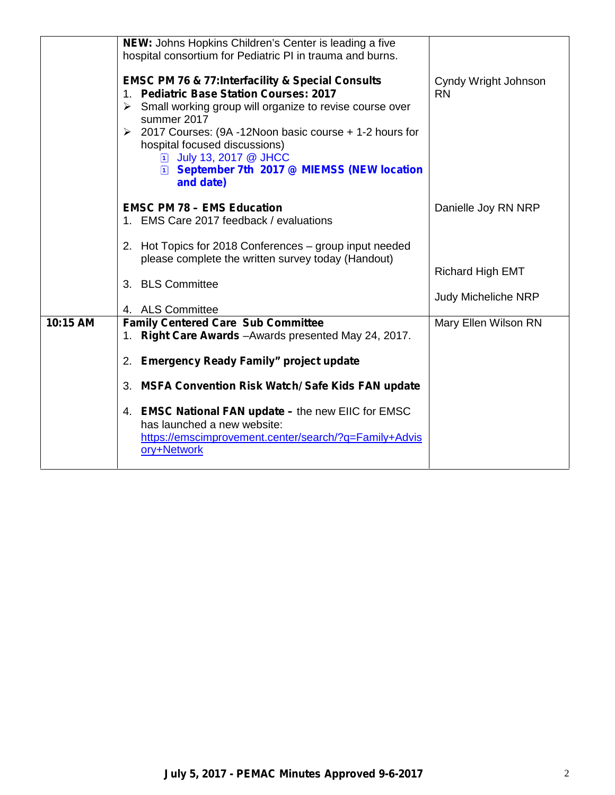|          | NEW: Johns Hopkins Children's Center is leading a five<br>hospital consortium for Pediatric PI in trauma and burns.<br><b>EMSC PM 76 &amp; 77:Interfacility &amp; Special Consults</b><br>1. Pediatric Base Station Courses: 2017<br>$\triangleright$ Small working group will organize to revise course over<br>summer 2017<br>2017 Courses: (9A -12Noon basic course + 1-2 hours for<br>➤<br>hospital focused discussions)<br>[1] July 13, 2017 @ JHCC<br><b>El September 7th 2017 @ MIEMSS (NEW location</b><br>and date) | Cyndy Wright Johnson<br><b>RN</b>              |
|----------|------------------------------------------------------------------------------------------------------------------------------------------------------------------------------------------------------------------------------------------------------------------------------------------------------------------------------------------------------------------------------------------------------------------------------------------------------------------------------------------------------------------------------|------------------------------------------------|
|          | <b>EMSC PM 78 - EMS Education</b><br>1. EMS Care 2017 feedback / evaluations                                                                                                                                                                                                                                                                                                                                                                                                                                                 | Danielle Joy RN NRP                            |
|          | 2. Hot Topics for 2018 Conferences - group input needed<br>please complete the written survey today (Handout)<br>3. BLS Committee<br>4. ALS Committee                                                                                                                                                                                                                                                                                                                                                                        | Richard High EMT<br><b>Judy Micheliche NRP</b> |
| 10:15 AM | <b>Family Centered Care Sub Committee</b><br>1. Right Care Awards - Awards presented May 24, 2017.<br>2. Emergency Ready Family" project update<br>3. MSFA Convention Risk Watch/ Safe Kids FAN update<br>4. EMSC National FAN update - the new EIIC for EMSC<br>has launched a new website:<br>https://emscimprovement.center/search/?q=Family+Advis<br>ory+Network                                                                                                                                                         | Mary Ellen Wilson RN                           |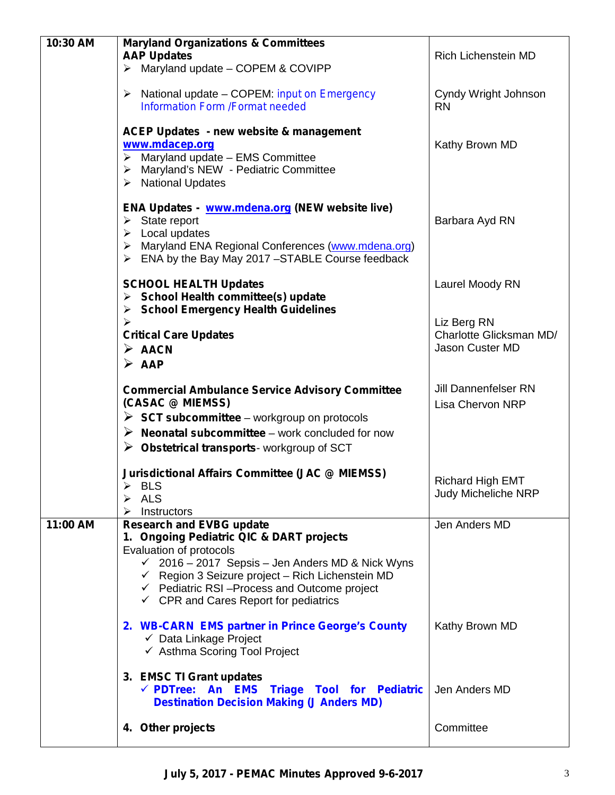| 10:30 AM | <b>Maryland Organizations &amp; Committees</b>                                                                                                                                                                                                                      |                                                        |  |
|----------|---------------------------------------------------------------------------------------------------------------------------------------------------------------------------------------------------------------------------------------------------------------------|--------------------------------------------------------|--|
|          | <b>AAP Updates</b>                                                                                                                                                                                                                                                  | <b>Rich Lichenstein MD</b>                             |  |
|          | $\triangleright$ Maryland update - COPEM & COVIPP                                                                                                                                                                                                                   |                                                        |  |
|          | $\triangleright$ National update – COPEM: <i>input on Emergency</i><br><b>Information Form /Format needed</b>                                                                                                                                                       | Cyndy Wright Johnson<br><b>RN</b>                      |  |
|          | <b>ACEP Updates - new website &amp; management</b><br>www.mdacep.org<br>$\triangleright$ Maryland update - EMS Committee<br>> Maryland's NEW - Pediatric Committee<br>> National Updates                                                                            | Kathy Brown MD                                         |  |
|          | ENA Updates - www.mdena.org (NEW website live)<br>$\triangleright$ State report<br>$\triangleright$ Local updates<br>> Maryland ENA Regional Conferences (www.mdena.org)<br>$\triangleright$ ENA by the Bay May 2017 -STABLE Course feedback                        | Barbara Ayd RN                                         |  |
|          | <b>SCHOOL HEALTH Updates</b><br>$\triangleright$ School Health committee(s) update<br>> School Emergency Health Guidelines                                                                                                                                          | Laurel Moody RN                                        |  |
|          | $\blacktriangleright$                                                                                                                                                                                                                                               | Liz Berg RN                                            |  |
|          | <b>Critical Care Updates</b>                                                                                                                                                                                                                                        | Charlotte Glicksman MD/                                |  |
|          | $\triangleright$ AACN                                                                                                                                                                                                                                               | Jason Custer MD                                        |  |
|          | $\triangleright$ AAP                                                                                                                                                                                                                                                |                                                        |  |
|          | <b>Commercial Ambulance Service Advisory Committee</b><br>(CASAC @ MIEMSS)<br>$\triangleright$ SCT subcommittee – workgroup on protocols                                                                                                                            | <b>Jill Dannenfelser RN</b><br><b>Lisa Chervon NRP</b> |  |
|          | $\triangleright$ Neonatal subcommittee – work concluded for now                                                                                                                                                                                                     |                                                        |  |
|          | $\triangleright$ Obstetrical transports-workgroup of SCT                                                                                                                                                                                                            |                                                        |  |
|          | <b>Jurisdictional Affairs Committee (JAC @ MIEMSS)</b><br><b>BLS</b><br>ALS<br>➤<br>Instructors<br>➤                                                                                                                                                                | <b>Richard High EMT</b><br>Judy Micheliche NRP         |  |
| 11:00 AM | <b>Research and EVBG update</b><br>1. Ongoing Pediatric QIC & DART projects                                                                                                                                                                                         | Jen Anders MD                                          |  |
|          | Evaluation of protocols<br>$\checkmark$ 2016 – 2017 Sepsis – Jen Anders MD & Nick Wyns<br>$\checkmark$ Region 3 Seizure project - Rich Lichenstein MD<br>$\checkmark$ Pediatric RSI-Process and Outcome project<br>$\checkmark$ CPR and Cares Report for pediatrics |                                                        |  |
|          | 2. WB-CARN EMS partner in Prince George's County<br>$\checkmark$ Data Linkage Project<br>← Asthma Scoring Tool Project                                                                                                                                              | Kathy Brown MD                                         |  |
|          | 3. EMSC TI Grant updates<br>√ PDTree: An EMS Triage Tool for Pediatric<br><b>Destination Decision Making (J Anders MD)</b>                                                                                                                                          | Jen Anders MD                                          |  |
|          | 4. Other projects                                                                                                                                                                                                                                                   | Committee                                              |  |
|          |                                                                                                                                                                                                                                                                     |                                                        |  |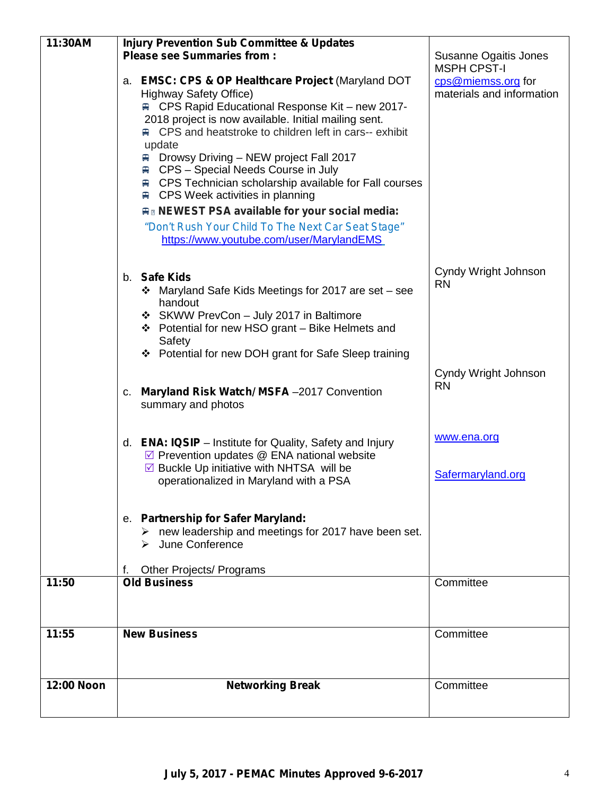| 11:30AM    | <b>Injury Prevention Sub Committee &amp; Updates</b>                                                                         |                           |
|------------|------------------------------------------------------------------------------------------------------------------------------|---------------------------|
|            | <b>Please see Summaries from:</b>                                                                                            | Susanne Ogaitis Jones     |
|            |                                                                                                                              | <b>MSPH CPST-I</b>        |
|            | a. EMSC: CPS & OP Healthcare Project (Maryland DOT                                                                           | cps@miemss.org for        |
|            | <b>Highway Safety Office)</b><br><b>■ CPS Rapid Educational Response Kit - new 2017-</b>                                     | materials and information |
|            | 2018 project is now available. Initial mailing sent.                                                                         |                           |
|            | <b>■ CPS and heatstroke to children left in cars-- exhibit</b>                                                               |                           |
|            | update                                                                                                                       |                           |
|            | Drowsy Driving - NEW project Fall 2017<br>黒                                                                                  |                           |
|            | <b>■ CPS – Special Needs Course in July</b>                                                                                  |                           |
|            | <b>■ CPS Technician scholarship available for Fall courses</b>                                                               |                           |
|            | <b>■ CPS Week activities in planning</b>                                                                                     |                           |
|            | <b>An NEWEST PSA available for your social media:</b>                                                                        |                           |
|            | "Don't Rush Your Child To The Next Car Seat Stage"                                                                           |                           |
|            | https://www.youtube.com/user/MarylandEMS                                                                                     |                           |
|            |                                                                                                                              |                           |
|            | b. Safe Kids                                                                                                                 | Cyndy Wright Johnson      |
|            | Maryland Safe Kids Meetings for 2017 are set - see                                                                           | <b>RN</b>                 |
|            | handout                                                                                                                      |                           |
|            | ❖ SKWW PrevCon - July 2017 in Baltimore                                                                                      |                           |
|            | ❖ Potential for new HSO grant – Bike Helmets and                                                                             |                           |
|            | Safety                                                                                                                       |                           |
|            | ❖ Potential for new DOH grant for Safe Sleep training                                                                        |                           |
|            |                                                                                                                              | Cyndy Wright Johnson      |
|            | c. Maryland Risk Watch/ MSFA -2017 Convention                                                                                | <b>RN</b>                 |
|            | summary and photos                                                                                                           |                           |
|            |                                                                                                                              |                           |
|            |                                                                                                                              | www.ena.org               |
|            | d. <b>ENA: IQSIP</b> – Institute for Quality, Safety and Injury                                                              |                           |
|            | $\triangledown$ Prevention updates $\oslash$ ENA national website<br>$\triangledown$ Buckle Up initiative with NHTSA will be |                           |
|            | operationalized in Maryland with a PSA                                                                                       | Safermaryland.org         |
|            |                                                                                                                              |                           |
|            |                                                                                                                              |                           |
|            | e. Partnership for Safer Maryland:                                                                                           |                           |
|            | new leadership and meetings for 2017 have been set.<br>➤                                                                     |                           |
|            | $\triangleright$ June Conference                                                                                             |                           |
|            | Other Projects/ Programs<br>t.                                                                                               |                           |
| 11:50      | <b>Old Business</b>                                                                                                          | Committee                 |
|            |                                                                                                                              |                           |
|            |                                                                                                                              |                           |
| 11:55      | <b>New Business</b>                                                                                                          | Committee                 |
|            |                                                                                                                              |                           |
|            |                                                                                                                              |                           |
| 12:00 Noon | <b>Networking Break</b>                                                                                                      | Committee                 |
|            |                                                                                                                              |                           |
|            |                                                                                                                              |                           |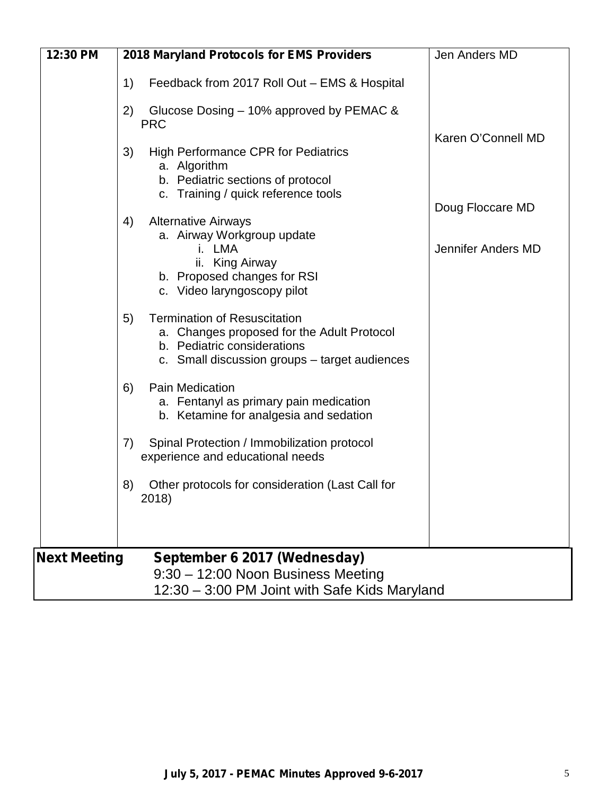| 12:30 PM            | 2018 Maryland Protocols for EMS Providers                                                                                                                               | Jen Anders MD      |
|---------------------|-------------------------------------------------------------------------------------------------------------------------------------------------------------------------|--------------------|
|                     | 1)<br>Feedback from 2017 Roll Out - EMS & Hospital                                                                                                                      |                    |
|                     | Glucose Dosing – 10% approved by PEMAC &<br>2)<br><b>PRC</b>                                                                                                            |                    |
|                     | <b>High Performance CPR for Pediatrics</b><br>3)<br>a. Algorithm<br>b. Pediatric sections of protocol<br>c. Training / quick reference tools                            | Karen O'Connell MD |
|                     | <b>Alternative Airways</b><br>4)                                                                                                                                        | Doug Floccare MD   |
|                     | a. Airway Workgroup update<br>i. LMA<br>ii. King Airway<br>b. Proposed changes for RSI<br>c. Video laryngoscopy pilot                                                   | Jennifer Anders MD |
|                     | <b>Termination of Resuscitation</b><br>5)<br>a. Changes proposed for the Adult Protocol<br>b. Pediatric considerations<br>c. Small discussion groups – target audiences |                    |
|                     | <b>Pain Medication</b><br>6)<br>a. Fentanyl as primary pain medication<br>b. Ketamine for analgesia and sedation                                                        |                    |
|                     | Spinal Protection / Immobilization protocol<br>7)<br>experience and educational needs                                                                                   |                    |
|                     | 8)<br>Other protocols for consideration (Last Call for<br>2018)                                                                                                         |                    |
| <b>Next Meeting</b> | September 6 2017 (Wednesday)                                                                                                                                            |                    |
|                     | 9:30 - 12:00 Noon Business Meeting<br>12:30 - 3:00 PM Joint with Safe Kids Maryland                                                                                     |                    |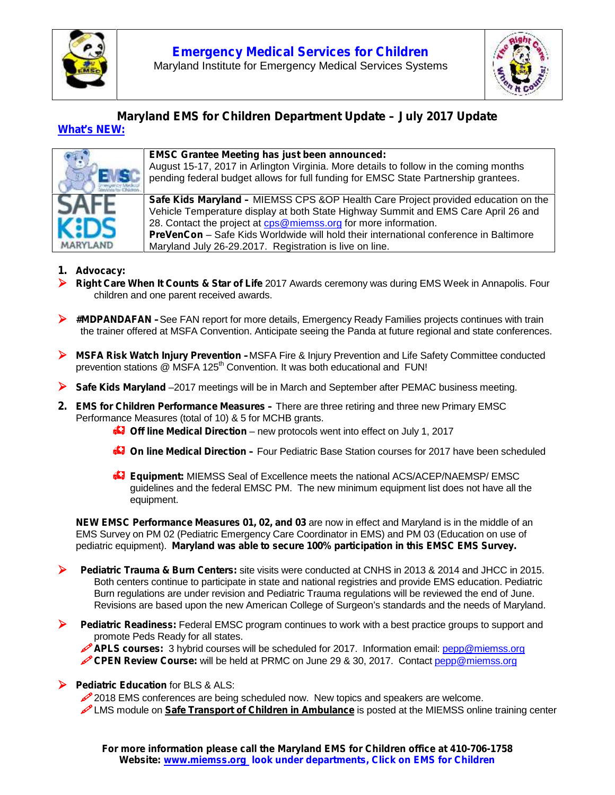



#### *Maryland EMS for Children Department Update – July 2017 Update What's NEW:*



#### **EMSC Grantee Meeting has just been announced:**

August 15-17, 2017 in Arlington Virginia. More details to follow in the coming months pending federal budget allows for full funding for EMSC State Partnership grantees.

**Safe Kids Maryland –** MIEMSS CPS &OP Health Care Project provided education on the Vehicle Temperature display at both State Highway Summit and EMS Care April 26 and 28. Contact the project at cps@miemss.org for more information. **PreVenCon** – Safe Kids Worldwide will hold their international conference in Baltimore Maryland July 26-29.2017. Registration is live on line.

#### **1. Advocacy:**

- **Right Care When It Counts & Star of Life** 2017 Awards ceremony was during EMS Week in Annapolis. Four children and one parent received awards.
- **#MDPANDAFAN –**See FAN report for more details, Emergency Ready Families projects continues with train the trainer offered at MSFA Convention. Anticipate seeing the Panda at future regional and state conferences.
- **MSFA Risk Watch Injury Prevention –**MSFA Fire & Injury Prevention and Life Safety Committee conducted prevention stations @ MSFA 125<sup>th</sup> Convention. It was both educational and FUN!
- **Safe Kids Maryland** –2017 meetings will be in March and September after PEMAC business meeting.
- **2. EMS for Children Performance Measures –** There are three retiring and three new Primary EMSC Performance Measures (total of 10) & 5 for MCHB grants.
	- **C** Off line Medical Direction new protocols went into effect on July 1, 2017
	- **Con line Medical Direction** Four Pediatric Base Station courses for 2017 have been scheduled
	- **Equipment:** MIEMSS Seal of Excellence meets the national ACS/ACEP/NAEMSP/ EMSC guidelines and the federal EMSC PM. The new minimum equipment list does not have all the equipment.

**NEW EMSC Performance Measures 01, 02, and 03** are now in effect and Maryland is in the middle of an EMS Survey on PM 02 (Pediatric Emergency Care Coordinator in EMS) and PM 03 (Education on use of pediatric equipment). **Maryland was able to secure 100% participation in this EMSC EMS Survey.**

- **Pediatric Trauma & Burn Centers:** site visits were conducted at CNHS in 2013 & 2014 and JHCC in 2015. Both centers continue to participate in state and national registries and provide EMS education. Pediatric Burn regulations are under revision and Pediatric Trauma regulations will be reviewed the end of June. Revisions are based upon the new American College of Surgeon's standards and the needs of Maryland.
- **Pediatric Readiness:** Federal EMSC program continues to work with a best practice groups to support and promote Peds Ready for all states.

**APLS courses:** 3 hybrid courses will be scheduled for 2017. Information email: pepp@miemss.org **CPEN Review Course:** will be held at PRMC on June 29 & 30, 2017. Contact pepp@miemss.org

**Pediatric Education** for BLS & ALS:

2018 EMS conferences are being scheduled now. New topics and speakers are welcome.

LMS module on **Safe Transport of Children in Ambulance** is posted at the MIEMSS online training center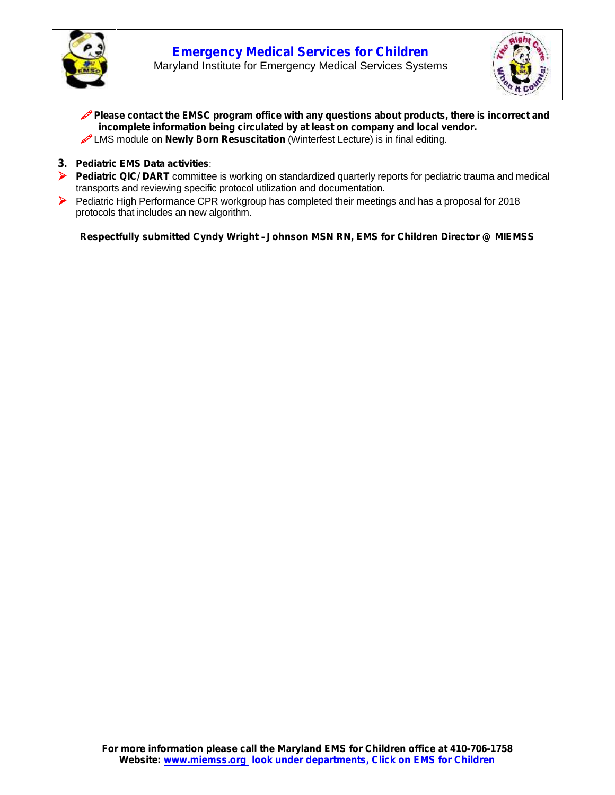



- **Please contact the EMSC program office with any questions about products, there is incorrect and incomplete information being circulated by at least on company and local vendor.**
- LMS module on **Newly Born Resuscitation** (Winterfest Lecture) is in final editing.
- **3. Pediatric EMS Data activities**:
- **Pediatric QIC/ DART** committee is working on standardized quarterly reports for pediatric trauma and medical transports and reviewing specific protocol utilization and documentation.
- Pediatric High Performance CPR workgroup has completed their meetings and has a proposal for 2018 protocols that includes an new algorithm.

*Respectfully submitted Cyndy Wright –Johnson MSN RN, EMS for Children Director @ MIEMSS*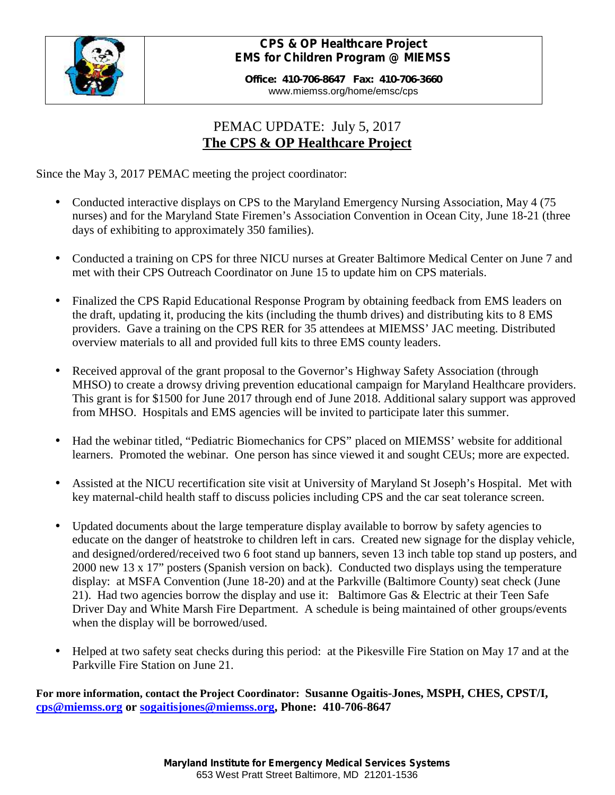

## *CPS & OP Healthcare Project EMS for Children Program @ MIEMSS*

**Office: 410-706-8647 Fax: 410-706-3660** www.miemss.org/home/emsc/cps

# PEMAC UPDATE: July 5, 2017 **The CPS & OP Healthcare Project**

Since the May 3, 2017 PEMAC meeting the project coordinator:

- Conducted interactive displays on CPS to the Maryland Emergency Nursing Association, May 4 (75 nurses) and for the Maryland State Firemen's Association Convention in Ocean City, June 18-21 (three days of exhibiting to approximately 350 families).
- Conducted a training on CPS for three NICU nurses at Greater Baltimore Medical Center on June 7 and met with their CPS Outreach Coordinator on June 15 to update him on CPS materials.
- Finalized the CPS Rapid Educational Response Program by obtaining feedback from EMS leaders on the draft, updating it, producing the kits (including the thumb drives) and distributing kits to 8 EMS providers. Gave a training on the CPS RER for 35 attendees at MIEMSS' JAC meeting. Distributed overview materials to all and provided full kits to three EMS county leaders.
- Received approval of the grant proposal to the Governor's Highway Safety Association (through MHSO) to create a drowsy driving prevention educational campaign for Maryland Healthcare providers. This grant is for \$1500 for June 2017 through end of June 2018. Additional salary support was approved from MHSO. Hospitals and EMS agencies will be invited to participate later this summer.
- Had the webinar titled, "Pediatric Biomechanics for CPS" placed on MIEMSS' website for additional learners. Promoted the webinar. One person has since viewed it and sought CEUs; more are expected.
- Assisted at the NICU recertification site visit at University of Maryland St Joseph's Hospital. Met with key maternal-child health staff to discuss policies including CPS and the car seat tolerance screen.
- Updated documents about the large temperature display available to borrow by safety agencies to educate on the danger of heatstroke to children left in cars. Created new signage for the display vehicle, and designed/ordered/received two 6 foot stand up banners, seven 13 inch table top stand up posters, and 2000 new 13 x 17" posters (Spanish version on back). Conducted two displays using the temperature display: at MSFA Convention (June 18-20) and at the Parkville (Baltimore County) seat check (June 21). Had two agencies borrow the display and use it: Baltimore Gas & Electric at their Teen Safe Driver Day and White Marsh Fire Department. A schedule is being maintained of other groups/events when the display will be borrowed/used.
- Helped at two safety seat checks during this period: at the Pikesville Fire Station on May 17 and at the Parkville Fire Station on June 21.

**For more information, contact the Project Coordinator: Susanne Ogaitis-Jones, MSPH, CHES, CPST/I, cps@miemss.org or sogaitisjones@miemss.org, Phone: 410-706-8647**